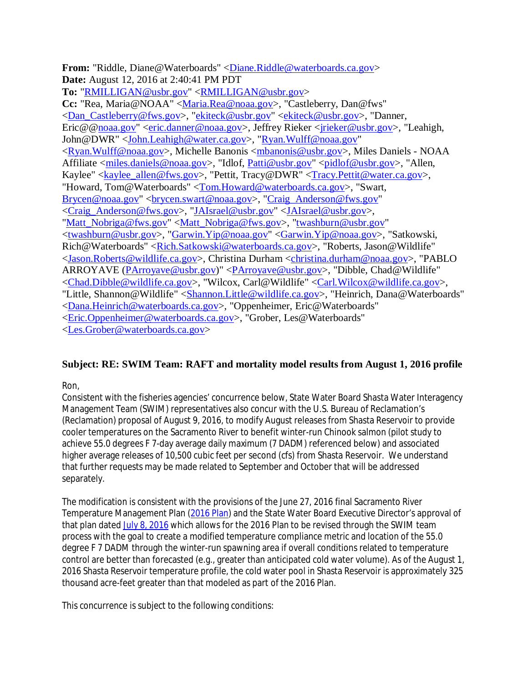**From:** "Riddle, Diane@Waterboards" <Diane.Riddle@waterboards.ca.gov> **Date:** August 12, 2016 at 2:40:41 PM PDT **To:** "RMILLIGAN@usbr.gov" <RMILLIGAN@usbr.gov> **Cc:** "Rea, Maria@NOAA" <Maria.Rea@noaa.gov>, "Castleberry, Dan@fws" <Dan\_Castleberry@fws.gov>, "ekiteck@usbr.gov" <ekiteck@usbr.gov>, "Danner, Eric@@noaa.gov" <eric.danner@noaa.gov>, Jeffrey Rieker <jrieker@usbr.gov>, "Leahigh, John@DWR" <John.Leahigh@water.ca.gov>, "Ryan.Wulff@noaa.gov" <Ryan.Wulff@noaa.gov>, Michelle Banonis <mbanonis@usbr.gov>, Miles Daniels - NOAA Affiliate <miles.daniels@noaa.gov>, "Idlof, Patti@usbr.gov" <pidlof@usbr.gov>, "Allen, Kaylee" <kaylee\_allen@fws.gov>, "Pettit, Tracy@DWR" <Tracy.Pettit@water.ca.gov>, "Howard, Tom@Waterboards" <Tom.Howard@waterboards.ca.gov>, "Swart, Brycen@noaa.gov" <br/> <br/> </brycen.swart@noaa.gov>, "Craig\_Anderson@fws.gov" <Craig\_Anderson@fws.gov>, "JAIsrael@usbr.gov" <JAIsrael@usbr.gov>, "Matt\_Nobriga@fws.gov" <Matt\_Nobriga@fws.gov>, "twashburn@usbr.gov" <twashburn@usbr.gov>, "Garwin.Yip@noaa.gov" <Garwin.Yip@noaa.gov>, "Satkowski, Rich@Waterboards" <Rich.Satkowski@waterboards.ca.gov>, "Roberts, Jason@Wildlife" <Jason.Roberts@wildlife.ca.gov>, Christina Durham <christina.durham@noaa.gov>, "PABLO ARROYAVE (PArroyave@usbr.gov)" <PArroyave@usbr.gov>, "Dibble, Chad@Wildlife" <Chad.Dibble@wildlife.ca.gov>, "Wilcox, Carl@Wildlife" <Carl.Wilcox@wildlife.ca.gov>, "Little, Shannon@Wildlife" <Shannon.Little@wildlife.ca.gov>, "Heinrich, Dana@Waterboards" <Dana.Heinrich@waterboards.ca.gov>, "Oppenheimer, Eric@Waterboards" <Eric.Oppenheimer@waterboards.ca.gov>, "Grober, Les@Waterboards" <Les.Grober@waterboards.ca.gov>

## **Subject: RE: SWIM Team: RAFT and mortality model results from August 1, 2016 profile**

Ron,

Consistent with the fisheries agencies' concurrence below, State Water Board Shasta Water Interagency Management Team (SWIM) representatives also concur with the U.S. Bureau of Reclamation's (Reclamation) proposal of August 9, 2016, to modify August releases from Shasta Reservoir to provide cooler temperatures on the Sacramento River to benefit winter-run Chinook salmon (pilot study to achieve 55.0 degrees F 7-day average daily maximum (7 DADM) referenced below) and associated higher average releases of 10,500 cubic feet per second (cfs) from Shasta Reservoir. We understand that further requests may be made related to September and October that will be addressed separately.

The modification is consistent with the provisions of the June 27, 2016 final Sacramento River Temperature Management Plan (2016 Plan) and the State Water Board Executive Director's approval of that plan dated July 8, 2016 which allows for the 2016 Plan to be revised through the SWIM team process with the goal to create a modified temperature compliance metric and location of the 55.0 degree F 7 DADM through the winter-run spawning area if overall conditions related to temperature control are better than forecasted (e.g., greater than anticipated cold water volume). As of the August 1, 2016 Shasta Reservoir temperature profile, the cold water pool in Shasta Reservoir is approximately 325 thousand acre-feet greater than that modeled as part of the 2016 Plan.

This concurrence is subject to the following conditions: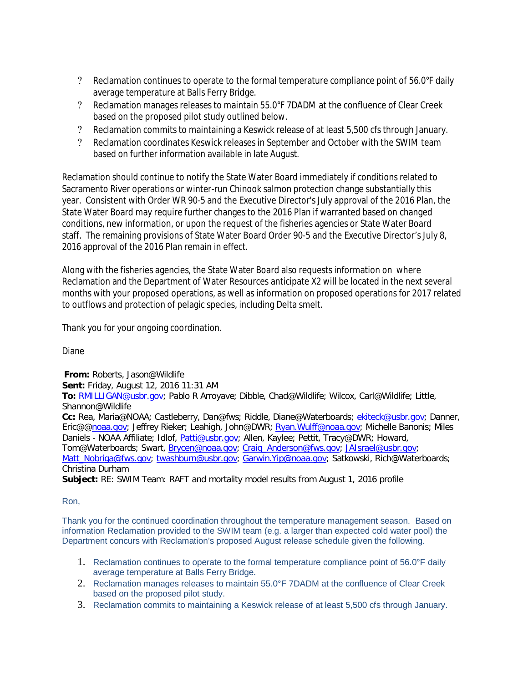- Reclamation continues to operate to the formal temperature compliance point of 56.0°F daily average temperature at Balls Ferry Bridge.
- Reclamation manages releases to maintain 55.0°F 7DADM at the confluence of Clear Creek based on the proposed pilot study outlined below.
- Reclamation commits to maintaining a Keswick release of at least 5,500 cfs through January.
- Reclamation coordinates Keswick releases in September and October with the SWIM team based on further information available in late August.

Reclamation should continue to notify the State Water Board immediately if conditions related to Sacramento River operations or winter-run Chinook salmon protection change substantially this year. Consistent with Order WR 90-5 and the Executive Director's July approval of the 2016 Plan, the State Water Board may require further changes to the 2016 Plan if warranted based on changed conditions, new information, or upon the request of the fisheries agencies or State Water Board staff. The remaining provisions of State Water Board Order 90-5 and the Executive Director's July 8, 2016 approval of the 2016 Plan remain in effect.

Along with the fisheries agencies, the State Water Board also requests information on where Reclamation and the Department of Water Resources anticipate X2 will be located in the next several months with your proposed operations, as well as information on proposed operations for 2017 related to outflows and protection of pelagic species, including Delta smelt.

Thank you for your ongoing coordination.

Diane

**From:** Roberts, Jason@Wildlife

**Sent:** Friday, August 12, 2016 11:31 AM

**To:** RMILLIGAN@usbr.gov; Pablo R Arroyave; Dibble, Chad@Wildlife; Wilcox, Carl@Wildlife; Little, Shannon@Wildlife

**Cc:** Rea, Maria@NOAA; Castleberry, Dan@fws; Riddle, Diane@Waterboards; ekiteck@usbr.gov; Danner, Eric@@noaa.gov; Jeffrey Rieker; Leahigh, John@DWR; Ryan.Wulff@noaa.gov; Michelle Banonis; Miles Daniels - NOAA Affiliate; Idlof, Patti@usbr.gov; Allen, Kaylee; Pettit, Tracy@DWR; Howard, Tom@Waterboards; Swart, Brycen@noaa.gov; Craig\_Anderson@fws.gov; JAIsrael@usbr.gov;

Matt\_Nobriga@fws.gov; twashburn@usbr.gov; Garwin.Yip@noaa.gov; Satkowski, Rich@Waterboards; Christina Durham

**Subject:** RE: SWIM Team: RAFT and mortality model results from August 1, 2016 profile

## Ron,

Thank you for the continued coordination throughout the temperature management season. Based on information Reclamation provided to the SWIM team (e.g. a larger than expected cold water pool) the Department concurs with Reclamation's proposed August release schedule given the following.

- 1. Reclamation continues to operate to the formal temperature compliance point of 56.0°F daily average temperature at Balls Ferry Bridge.
- 2. Reclamation manages releases to maintain 55.0°F 7DADM at the confluence of Clear Creek based on the proposed pilot study.
- 3. Reclamation commits to maintaining a Keswick release of at least 5,500 cfs through January.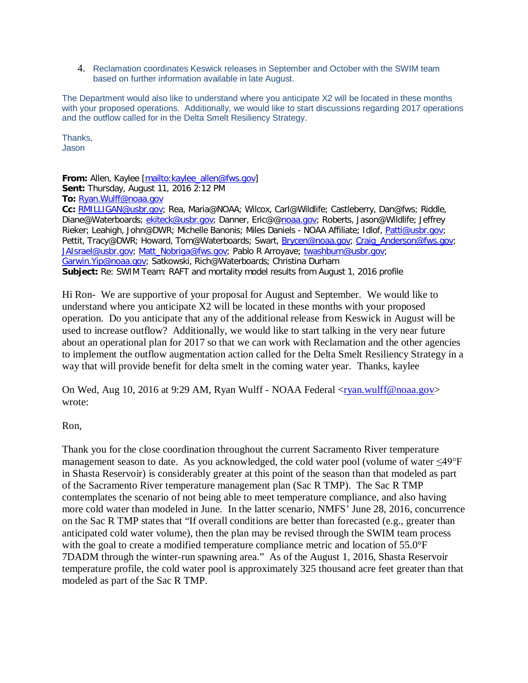4. Reclamation coordinates Keswick releases in September and October with the SWIM team based on further information available in late August.

The Department would also like to understand where you anticipate X2 will be located in these months with your proposed operations. Additionally, we would like to start discussions regarding 2017 operations and the outflow called for in the Delta Smelt Resiliency Strategy.

Thanks, Jason

**From:** Allen, Kaylee [mailto:kaylee\_allen@fws.gov] **Sent:** Thursday, August 11, 2016 2:12 PM **To:** Ryan.Wulff@noaa.gov **Cc:** RMILLIGAN@usbr.gov; Rea, Maria@NOAA; Wilcox, Carl@Wildlife; Castleberry, Dan@fws; Riddle, Diane@Waterboards; ekiteck@usbr.gov; Danner, Eric@@noaa.gov; Roberts, Jason@Wildlife; Jeffrey Rieker; Leahigh, John@DWR; Michelle Banonis; Miles Daniels - NOAA Affiliate; Idlof, Patti@usbr.gov; Pettit, Tracy@DWR; Howard, Tom@Waterboards; Swart, Brycen@noaa.gov; Craig\_Anderson@fws.gov; JAIsrael@usbr.gov; Matt\_Nobriga@fws.gov; Pablo R Arroyave; twashburn@usbr.gov; Garwin.Yip@noaa.gov; Satkowski, Rich@Waterboards; Christina Durham **Subject:** Re: SWIM Team: RAFT and mortality model results from August 1, 2016 profile

Hi Ron- We are supportive of your proposal for August and September. We would like to understand where you anticipate X2 will be located in these months with your proposed operation. Do you anticipate that any of the additional release from Keswick in August will be used to increase outflow? Additionally, we would like to start talking in the very near future about an operational plan for 2017 so that we can work with Reclamation and the other agencies to implement the outflow augmentation action called for the Delta Smelt Resiliency Strategy in a way that will provide benefit for delta smelt in the coming water year. Thanks, kaylee

On Wed, Aug 10, 2016 at 9:29 AM, Ryan Wulff - NOAA Federal <ryan.wulff@noaa.gov> wrote:

## Ron,

Thank you for the close coordination throughout the current Sacramento River temperature management season to date. As you acknowledged, the cold water pool (volume of water ≤49°F in Shasta Reservoir) is considerably greater at this point of the season than that modeled as part of the Sacramento River temperature management plan (Sac R TMP). The Sac R TMP contemplates the scenario of not being able to meet temperature compliance, and also having more cold water than modeled in June. In the latter scenario, NMFS' June 28, 2016, concurrence on the Sac R TMP states that "If overall conditions are better than forecasted (e.g., greater than anticipated cold water volume), then the plan may be revised through the SWIM team process with the goal to create a modified temperature compliance metric and location of 55.0°F 7DADM through the winter-run spawning area." As of the August 1, 2016, Shasta Reservoir temperature profile, the cold water pool is approximately 325 thousand acre feet greater than that modeled as part of the Sac R TMP.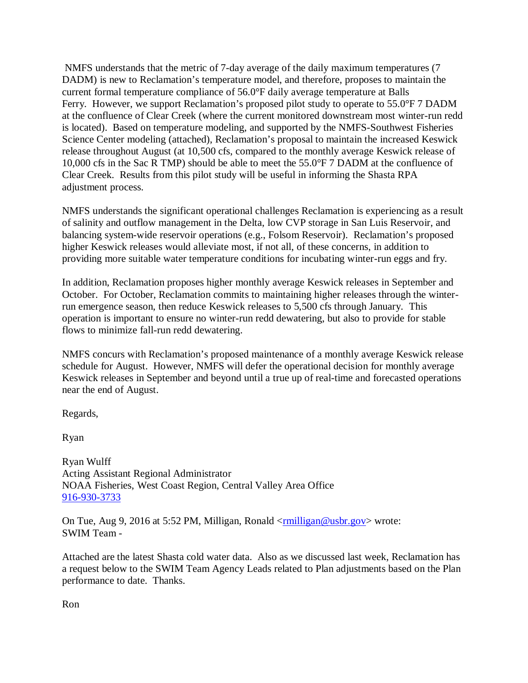NMFS understands that the metric of 7-day average of the daily maximum temperatures (7 DADM) is new to Reclamation's temperature model, and therefore, proposes to maintain the current formal temperature compliance of 56.0°F daily average temperature at Balls Ferry. However, we support Reclamation's proposed pilot study to operate to 55.0°F 7 DADM at the confluence of Clear Creek (where the current monitored downstream most winter-run redd is located). Based on temperature modeling, and supported by the NMFS-Southwest Fisheries Science Center modeling (attached), Reclamation's proposal to maintain the increased Keswick release throughout August (at 10,500 cfs, compared to the monthly average Keswick release of 10,000 cfs in the Sac R TMP) should be able to meet the 55.0°F 7 DADM at the confluence of Clear Creek. Results from this pilot study will be useful in informing the Shasta RPA adjustment process.

NMFS understands the significant operational challenges Reclamation is experiencing as a result of salinity and outflow management in the Delta, low CVP storage in San Luis Reservoir, and balancing system-wide reservoir operations (e.g., Folsom Reservoir). Reclamation's proposed higher Keswick releases would alleviate most, if not all, of these concerns, in addition to providing more suitable water temperature conditions for incubating winter-run eggs and fry.

In addition, Reclamation proposes higher monthly average Keswick releases in September and October. For October, Reclamation commits to maintaining higher releases through the winterrun emergence season, then reduce Keswick releases to 5,500 cfs through January. This operation is important to ensure no winter-run redd dewatering, but also to provide for stable flows to minimize fall-run redd dewatering.

NMFS concurs with Reclamation's proposed maintenance of a monthly average Keswick release schedule for August. However, NMFS will defer the operational decision for monthly average Keswick releases in September and beyond until a true up of real-time and forecasted operations near the end of August.

Regards,

Ryan

Ryan Wulff Acting Assistant Regional Administrator NOAA Fisheries, West Coast Region, Central Valley Area Office 916-930-3733

On Tue, Aug 9, 2016 at 5:52 PM, Milligan, Ronald <<u>rmilligan@usbr.gov</u>> wrote: SWIM Team -

Attached are the latest Shasta cold water data. Also as we discussed last week, Reclamation has a request below to the SWIM Team Agency Leads related to Plan adjustments based on the Plan performance to date. Thanks.

Ron